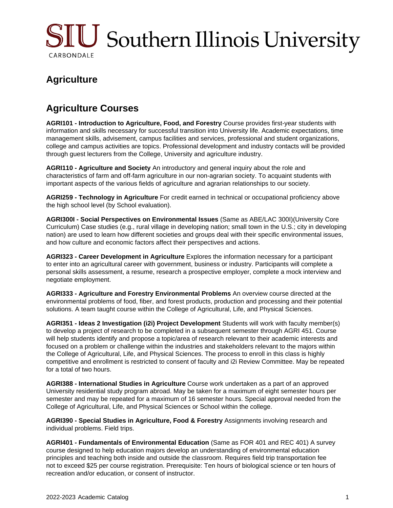

## **Agriculture**

## **Agriculture Courses**

**AGRI101 - Introduction to Agriculture, Food, and Forestry** Course provides first-year students with information and skills necessary for successful transition into University life. Academic expectations, time management skills, advisement, campus facilities and services, professional and student organizations, college and campus activities are topics. Professional development and industry contacts will be provided through guest lecturers from the College, University and agriculture industry.

**AGRI110 - Agriculture and Society** An introductory and general inquiry about the role and characteristics of farm and off-farm agriculture in our non-agrarian society. To acquaint students with important aspects of the various fields of agriculture and agrarian relationships to our society.

**AGRI259 - Technology in Agriculture** For credit earned in technical or occupational proficiency above the high school level (by School evaluation).

**AGRI300I - Social Perspectives on Environmental Issues** (Same as ABE/LAC 300I)(University Core Curriculum) Case studies (e.g., rural village in developing nation; small town in the U.S.; city in developing nation) are used to learn how different societies and groups deal with their specific environmental issues, and how culture and economic factors affect their perspectives and actions.

**AGRI323 - Career Development in Agriculture** Explores the information necessary for a participant to enter into an agricultural career with government, business or industry. Participants will complete a personal skills assessment, a resume, research a prospective employer, complete a mock interview and negotiate employment.

**AGRI333 - Agriculture and Forestry Environmental Problems** An overview course directed at the environmental problems of food, fiber, and forest products, production and processing and their potential solutions. A team taught course within the College of Agricultural, Life, and Physical Sciences.

**AGRI351 - Ideas 2 Investigation (i2i) Project Development** Students will work with faculty member(s) to develop a project of research to be completed in a subsequent semester through AGRI 451. Course will help students identify and propose a topic/area of research relevant to their academic interests and focused on a problem or challenge within the industries and stakeholders relevant to the majors within the College of Agricultural, Life, and Physical Sciences. The process to enroll in this class is highly competitive and enrollment is restricted to consent of faculty and i2i Review Committee. May be repeated for a total of two hours.

**AGRI388 - International Studies in Agriculture** Course work undertaken as a part of an approved University residential study program abroad. May be taken for a maximum of eight semester hours per semester and may be repeated for a maximum of 16 semester hours. Special approval needed from the College of Agricultural, Life, and Physical Sciences or School within the college.

**AGRI390 - Special Studies in Agriculture, Food & Forestry** Assignments involving research and individual problems. Field trips.

**AGRI401 - Fundamentals of Environmental Education** (Same as FOR 401 and REC 401) A survey course designed to help education majors develop an understanding of environmental education principles and teaching both inside and outside the classroom. Requires field trip transportation fee not to exceed \$25 per course registration. Prerequisite: Ten hours of biological science or ten hours of recreation and/or education, or consent of instructor.